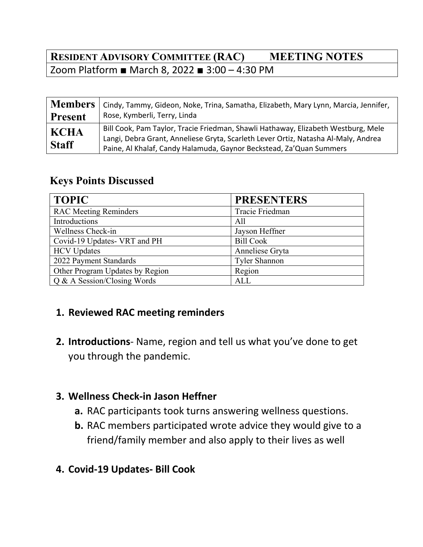## **RESIDENT ADVISORY COMMITTEE (RAC) MEETING NOTES** Zoom Platform ■ March 8, 2022 ■ 3:00 – 4:30 PM

|                             | Members   Cindy, Tammy, Gideon, Noke, Trina, Samatha, Elizabeth, Mary Lynn, Marcia, Jennifer,                                                                                                                                                  |
|-----------------------------|------------------------------------------------------------------------------------------------------------------------------------------------------------------------------------------------------------------------------------------------|
| <b>Present</b>              | Rose, Kymberli, Terry, Linda                                                                                                                                                                                                                   |
| <b>KCHA</b><br><b>Staff</b> | Bill Cook, Pam Taylor, Tracie Friedman, Shawli Hathaway, Elizabeth Westburg, Mele<br>Langi, Debra Grant, Anneliese Gryta, Scarleth Lever Ortiz, Natasha Al-Maly, Andrea<br>Paine, Al Khalaf, Candy Halamuda, Gaynor Beckstead, Za'Quan Summers |

#### **Keys Points Discussed**

| <b>TOPIC</b>                    | <b>PRESENTERS</b> |
|---------------------------------|-------------------|
| <b>RAC Meeting Reminders</b>    | Tracie Friedman   |
| Introductions                   | All               |
| Wellness Check-in               | Jayson Heffner    |
| Covid-19 Updates- VRT and PH    | <b>Bill Cook</b>  |
| <b>HCV</b> Updates              | Anneliese Gryta   |
| 2022 Payment Standards          | Tyler Shannon     |
| Other Program Updates by Region | Region            |
| Q & A Session/Closing Words     | <b>ALL</b>        |

### **1. Reviewed RAC meeting reminders**

**2. Introductions**‐ Name, region and tell us what you've done to get you through the pandemic.

### **3. Wellness Check‐in Jason Heffner**

- **a.** RAC participants took turns answering wellness questions.
- **b.** RAC members participated wrote advice they would give to a friend/family member and also apply to their lives as well
- **4. Covid‐19 Updates‐ Bill Cook**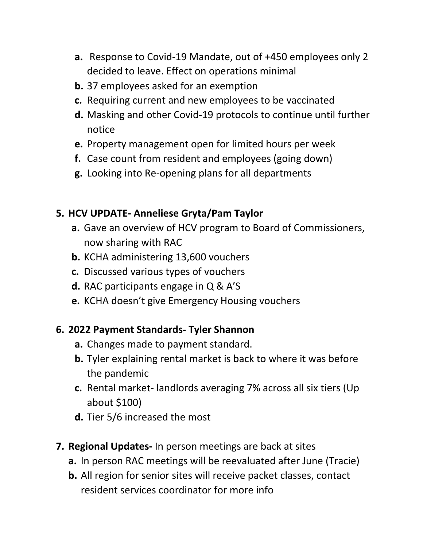- **a.** Response to Covid‐19 Mandate, out of +450 employees only 2 decided to leave. Effect on operations minimal
- **b.** 37 employees asked for an exemption
- **c.** Requiring current and new employees to be vaccinated
- **d.** Masking and other Covid‐19 protocols to continue until further notice
- **e.** Property management open for limited hours per week
- **f.** Case count from resident and employees (going down)
- **g.** Looking into Re‐opening plans for all departments

## **5. HCV UPDATE‐ Anneliese Gryta/Pam Taylor**

- **a.** Gave an overview of HCV program to Board of Commissioners, now sharing with RAC
- **b.** KCHA administering 13,600 vouchers
- **c.** Discussed various types of vouchers
- **d.** RAC participants engage in Q & A'S
- **e.** KCHA doesn't give Emergency Housing vouchers

## **6. 2022 Payment Standards‐ Tyler Shannon**

- **a.** Changes made to payment standard.
- **b.** Tyler explaining rental market is back to where it was before the pandemic
- **c.** Rental market‐ landlords averaging 7% across all six tiers (Up about \$100)
- **d.** Tier 5/6 increased the most
- **7. Regional Updates‐** In person meetings are back at sites
	- **a.** In person RAC meetings will be reevaluated after June (Tracie)
	- **b.** All region for senior sites will receive packet classes, contact resident services coordinator for more info